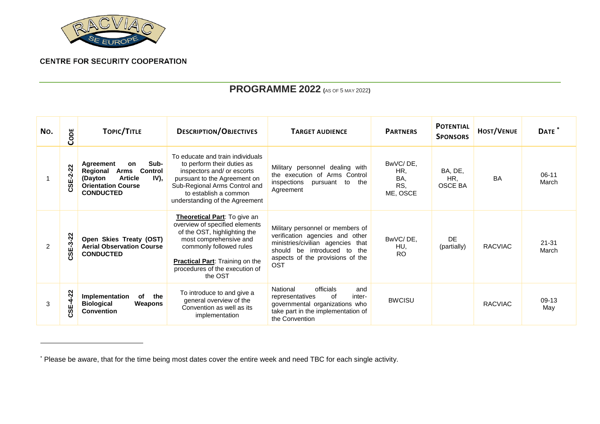

## **CENTRE FOR SECURITY COOPERATION**

 $\overline{a}$ 

## **PROGRAMME 2022 (**AS OF <sup>5</sup> MAY <sup>2022</sup>**)**

| No. | CODE              | <b>TOPIC/TITLE</b>                                                                                                                                  | <b>DESCRIPTION/OBJECTIVES</b>                                                                                                                                                                                                       | <b>TARGET AUDIENCE</b>                                                                                                                                                                          | <b>PARTNERS</b>                           | <b>POTENTIAL</b><br><b>SPONSORS</b> | <b>HOST/VENUE</b> | DATE <sup>*</sup>  |
|-----|-------------------|-----------------------------------------------------------------------------------------------------------------------------------------------------|-------------------------------------------------------------------------------------------------------------------------------------------------------------------------------------------------------------------------------------|-------------------------------------------------------------------------------------------------------------------------------------------------------------------------------------------------|-------------------------------------------|-------------------------------------|-------------------|--------------------|
|     | $\sim$<br>CSE-2-2 | Sub-<br>Agreement<br>on<br><b>Control</b><br>Regional<br>Arms<br>IV),<br><b>Article</b><br>(Dayton<br><b>Orientation Course</b><br><b>CONDUCTED</b> | To educate and train individuals<br>to perform their duties as<br>inspectors and/ or escorts<br>pursuant to the Agreement on<br>Sub-Regional Arms Control and<br>to establish a common<br>understanding of the Agreement            | Military personnel dealing with<br>the execution of Arms Control<br>inspections<br>the<br>pursuant<br>to<br>Agreement                                                                           | BwVC/DE,<br>HR,<br>BA.<br>RS,<br>ME, OSCE | BA, DE,<br>HR,<br>OSCE BA           | <b>BA</b>         | $06-11$<br>March   |
| 2   | $-22$<br>CSE-3    | Open Skies Treaty (OST)<br><b>Aerial Observation Course</b><br><b>CONDUCTED</b>                                                                     | Theoretical Part: To give an<br>overview of specified elements<br>of the OST, highlighting the<br>most comprehensive and<br>commonly followed rules<br>Practical Part: Training on the<br>procedures of the execution of<br>the OST | Military personnel or members of<br>verification agencies and other<br>ministries/civilian agencies that<br>be introduced to<br>should<br>the<br>aspects of the provisions of the<br><b>OST</b> | BwVC/DE,<br>HU,<br><b>RO</b>              | <b>DF</b><br>(partially)            | <b>RACVIAC</b>    | $21 - 31$<br>March |
| 3   | SE-4-22<br>ပ      | the<br>Implementation<br>of<br><b>Biological</b><br>Weapons<br><b>Convention</b>                                                                    | To introduce to and give a<br>general overview of the<br>Convention as well as its<br>implementation                                                                                                                                | officials<br>National<br>and<br>representatives<br>οf<br>inter-<br>governmental organizations who<br>take part in the implementation of<br>the Convention                                       | <b>BWCISU</b>                             |                                     | <b>RACVIAC</b>    | $09-13$<br>May     |

<sup>\*</sup> Please be aware, that for the time being most dates cover the entire week and need TBC for each single activity.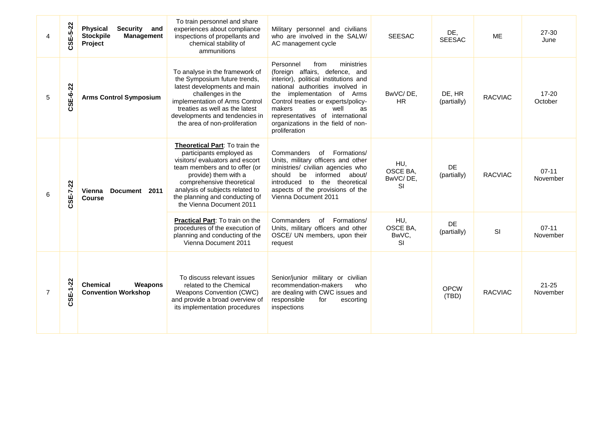| 4              | CSE-5-22 | <b>Security</b><br><b>Physical</b><br>and<br><b>Stockpile</b><br><b>Management</b><br>Project | To train personnel and share<br>experiences about compliance<br>inspections of propellants and<br>chemical stability of<br>ammunitions                                                                                                                                               | Military personnel and civilians<br>who are involved in the SALW/<br>AC management cycle                                                                                                                                                                                                                                                     | <b>SEESAC</b>                     | DE,<br><b>SEESAC</b>  | <b>ME</b>      | $27 - 30$<br>June     |
|----------------|----------|-----------------------------------------------------------------------------------------------|--------------------------------------------------------------------------------------------------------------------------------------------------------------------------------------------------------------------------------------------------------------------------------------|----------------------------------------------------------------------------------------------------------------------------------------------------------------------------------------------------------------------------------------------------------------------------------------------------------------------------------------------|-----------------------------------|-----------------------|----------------|-----------------------|
| 5              | CSE-6-22 | <b>Arms Control Symposium</b>                                                                 | To analyse in the framework of<br>the Symposium future trends,<br>latest developments and main<br>challenges in the<br>implementation of Arms Control<br>treaties as well as the latest<br>developments and tendencies in<br>the area of non-proliferation                           | Personnel<br>ministries<br>from<br>(foreign affairs, defence, and<br>interior), political institutions and<br>national authorities involved in<br>the implementation of Arms<br>Control treaties or experts/policy-<br>makers<br>well<br>as<br>as<br>representatives of international<br>organizations in the field of non-<br>proliferation | BwVC/DE,<br><b>HR</b>             | DE. HR<br>(partially) | <b>RACVIAC</b> | $17 - 20$<br>October  |
| 6              | CSE-7-22 | Document 2011<br>Vienna<br><b>Course</b>                                                      | Theoretical Part: To train the<br>participants employed as<br>visitors/ evaluators and escort<br>team members and to offer (or<br>provide) them with a<br>comprehensive theoretical<br>analysis of subjects related to<br>the planning and conducting of<br>the Vienna Document 2011 | Formations/<br>Commanders<br>of<br>Units, military officers and other<br>ministries/ civilian agencies who<br>should<br>be<br>informed about/<br>introduced to the theoretical<br>aspects of the provisions of the<br>Vienna Document 2011                                                                                                   | HU,<br>OSCE BA,<br>BwVC/DE,<br>SI | DE<br>(partially)     | <b>RACVIAC</b> | $07 - 11$<br>November |
|                |          |                                                                                               | Practical Part: To train on the<br>procedures of the execution of<br>planning and conducting of the<br>Vienna Document 2011                                                                                                                                                          | Commanders<br>Formations/<br>of<br>Units, military officers and other<br>OSCE/ UN members, upon their<br>request                                                                                                                                                                                                                             | HU,<br>OSCE BA,<br>BwVC,<br>SI    | DE<br>(partially)     | SI             | $07 - 11$<br>November |
| $\overline{7}$ | CSE-1-22 | <b>Chemical</b><br>Weapons<br><b>Convention Workshop</b>                                      | To discuss relevant issues<br>related to the Chemical<br>Weapons Convention (CWC)<br>and provide a broad overview of<br>its implementation procedures                                                                                                                                | Senior/junior military or civilian<br>recommendation-makers<br>who<br>are dealing with CWC issues and<br>responsible<br>for<br>escorting<br>inspections                                                                                                                                                                                      |                                   | <b>OPCW</b><br>(TBD)  | <b>RACVIAC</b> | $21 - 25$<br>November |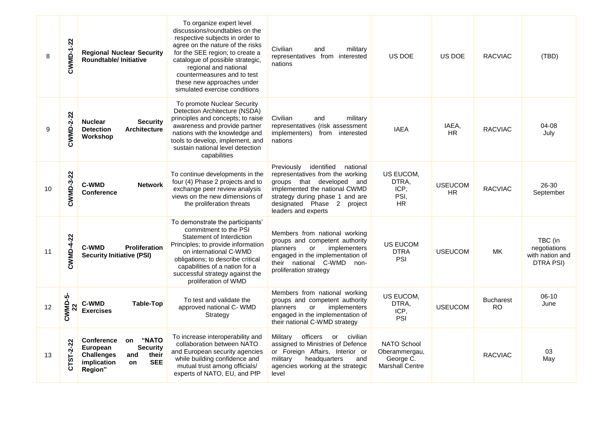| 8  | CWMD-1-22 | <b>Regional Nuclear Security</b><br><b>Roundtable/Initiative</b>                                                                                   | To organize expert level<br>discussions/roundtables on the<br>respective subjects in order to<br>agree on the nature of the risks<br>for the SEE region; to create a<br>catalogue of possible strategic,<br>regional and national<br>countermeasures and to test<br>these new approaches under<br>simulated exercise conditions | Civilian<br>and<br>military<br>representatives from interested<br>nations                                                                                                                                                      | US DOE                                                                     | US DOE                      | <b>RACVIAC</b>                | (TBD)                                                          |
|----|-----------|----------------------------------------------------------------------------------------------------------------------------------------------------|---------------------------------------------------------------------------------------------------------------------------------------------------------------------------------------------------------------------------------------------------------------------------------------------------------------------------------|--------------------------------------------------------------------------------------------------------------------------------------------------------------------------------------------------------------------------------|----------------------------------------------------------------------------|-----------------------------|-------------------------------|----------------------------------------------------------------|
| 9  | CWMD-2-22 | <b>Nuclear</b><br><b>Security</b><br><b>Detection</b><br><b>Architecture</b><br>Workshop                                                           | To promote Nuclear Security<br>Detection Architecture (NSDA)<br>principles and concepts; to raise<br>awareness and provide partner<br>nations with the knowledge and<br>tools to develop, implement, and<br>sustain national level detection<br>capabilities                                                                    | Civilian<br>and<br>military<br>representatives (risk assessment<br>implementers)<br>from interested<br>nations                                                                                                                 | <b>IAEA</b>                                                                | IAEA,<br>HR.                | <b>RACVIAC</b>                | 04-08<br>July                                                  |
| 10 | CWMD-3-22 | <b>C-WMD</b><br><b>Network</b><br><b>Conference</b>                                                                                                | To continue developments in the<br>four (4) Phase 2 projects and to<br>exchange peer review analysis<br>views on the new dimensions of<br>the proliferation threats                                                                                                                                                             | identified<br>Previously<br>national<br>representatives from the working<br>groups that developed and<br>implemented the national CWMD<br>strategy during phase 1 and are<br>designated Phase 2 project<br>leaders and experts | US EUCOM,<br>DTRA,<br>ICP,<br>PSI,<br>HR                                   | <b>USEUCOM</b><br><b>HR</b> | <b>RACVIAC</b>                | 26-30<br>September                                             |
| 11 | CWMD-4-22 | <b>C-WMD</b><br><b>Proliferation</b><br><b>Security Initiative (PSI)</b>                                                                           | To demonstrate the participants'<br>commitment to the PSI<br>Statement of Interdiction<br>Principles; to provide information<br>on international C-WMD<br>obligations; to describe critical<br>capabilities of a nation for a<br>successful strategy against the<br>proliferation of WMD                                        | Members from national working<br>groups and competent authority<br>implementers<br>planners<br>or<br>engaged in the implementation of<br>their national C-WMD<br>non-<br>proliferation strategy                                | <b>US EUCOM</b><br><b>DTRA</b><br>PSI                                      | <b>USEUCOM</b>              | <b>MK</b>                     | TBC (in<br>negotiations<br>with nation and<br><b>DTRA PSI)</b> |
| 12 | CWMD-5-   | <b>C-WMD</b><br>Table-Top<br><b>Exercises</b>                                                                                                      | To test and validate the<br>approved national C-WMD<br>Strategy                                                                                                                                                                                                                                                                 | Members from national working<br>groups and competent authority<br>or<br>implementers<br>planners<br>engaged in the implementation of<br>their national C-WMD strategy                                                         | US EUCOM,<br>DTRA,<br>ICP,<br><b>PSI</b>                                   | <b>USEUCOM</b>              | <b>Bucharest</b><br><b>RO</b> | $06-10$<br>June                                                |
| 13 | CTST-2-22 | "NATO<br><b>Conference</b><br>on<br><b>Security</b><br>European<br><b>Challenges</b><br>their<br>and<br>implication<br><b>SEE</b><br>on<br>Region" | To increase interoperability and<br>collaboration between NATO<br>and European security agencies<br>while building confidence and<br>mutual trust among officials/<br>experts of NATO, EU, and PfP                                                                                                                              | officers<br>Military<br>or<br>civilian<br>assigned to Ministries of Defence<br>or Foreign Affairs, Interior or<br>headquarters<br>military<br>and<br>agencies working at the strategic<br>level                                | <b>NATO School</b><br>Oberammergau,<br>George C.<br><b>Marshall Centre</b> |                             | <b>RACVIAC</b>                | 03<br>May                                                      |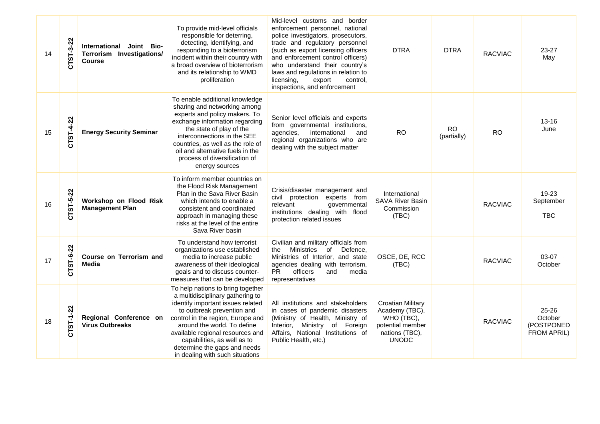| 14 | CTST-3-22 | Joint Bio-<br>International<br>Terrorism Investigations/<br><b>Course</b> | To provide mid-level officials<br>responsible for deterring,<br>detecting, identifying, and<br>responding to a bioterrorism<br>incident within their country with<br>a broad overview of bioterrorism<br>and its relationship to WMD<br>proliferation                                                                                              | Mid-level customs and border<br>enforcement personnel, national<br>police investigators, prosecutors,<br>trade and regulatory personnel<br>(such as export licensing officers<br>and enforcement control officers)<br>who understand their country's<br>laws and regulations in relation to<br>licensing,<br>export<br>control.<br>inspections, and enforcement | <b>DTRA</b>                                                                                                    | <b>DTRA</b>              | <b>RACVIAC</b> | 23-27<br>May                                         |
|----|-----------|---------------------------------------------------------------------------|----------------------------------------------------------------------------------------------------------------------------------------------------------------------------------------------------------------------------------------------------------------------------------------------------------------------------------------------------|-----------------------------------------------------------------------------------------------------------------------------------------------------------------------------------------------------------------------------------------------------------------------------------------------------------------------------------------------------------------|----------------------------------------------------------------------------------------------------------------|--------------------------|----------------|------------------------------------------------------|
| 15 | CTST-4-22 | <b>Energy Security Seminar</b>                                            | To enable additional knowledge<br>sharing and networking among<br>experts and policy makers. To<br>exchange information regarding<br>the state of play of the<br>interconnections in the SEE<br>countries, as well as the role of<br>oil and alternative fuels in the<br>process of diversification of<br>energy sources                           | Senior level officials and experts<br>from governmental institutions,<br>international<br>agencies,<br>and<br>regional organizations who are<br>dealing with the subject matter                                                                                                                                                                                 | <b>RO</b>                                                                                                      | <b>RO</b><br>(partially) | <b>RO</b>      | $13 - 16$<br>June                                    |
| 16 | CTST-5-22 | Workshop on Flood Risk<br><b>Management Plan</b>                          | To inform member countries on<br>the Flood Risk Management<br>Plan in the Sava River Basin<br>which intends to enable a<br>consistent and coordinated<br>approach in managing these<br>risks at the level of the entire<br>Sava River basin                                                                                                        | Crisis/disaster management and<br>civil protection experts from<br>relevant<br>governmental<br>institutions dealing with flood<br>protection related issues                                                                                                                                                                                                     | International<br><b>SAVA River Basin</b><br>Commission<br>(TBC)                                                |                          | <b>RACVIAC</b> | 19-23<br>September<br><b>TBC</b>                     |
| 17 | CTST-6-22 | Course on Terrorism and<br>Media                                          | To understand how terrorist<br>organizations use established<br>media to increase public<br>awareness of their ideological<br>goals and to discuss counter-<br>measures that can be developed                                                                                                                                                      | Civilian and military officials from<br>Ministries<br>of<br>Defence.<br>the<br>Ministries of Interior, and state<br>agencies dealing with terrorism,<br>officers<br>PR.<br>and<br>media<br>representatives                                                                                                                                                      | OSCE, DE, RCC<br>(TBC)                                                                                         |                          | <b>RACVIAC</b> | 03-07<br>October                                     |
| 18 | CTST-1-22 | Regional Conference on<br><b>Virus Outbreaks</b>                          | To help nations to bring together<br>a multidisciplinary gathering to<br>identify important issues related<br>to outbreak prevention and<br>control in the region, Europe and<br>around the world. To define<br>available regional resources and<br>capabilities, as well as to<br>determine the gaps and needs<br>in dealing with such situations | All institutions and stakeholders<br>in cases of pandemic disasters<br>(Ministry of Health, Ministry of<br>Interior, Ministry of Foreign<br>Affairs, National Institutions of<br>Public Health, etc.)                                                                                                                                                           | <b>Croatian Military</b><br>Academy (TBC),<br>WHO (TBC),<br>potential member<br>nations (TBC),<br><b>UNODC</b> |                          | <b>RACVIAC</b> | 25-26<br>October<br>(POSTPONED<br><b>FROM APRIL)</b> |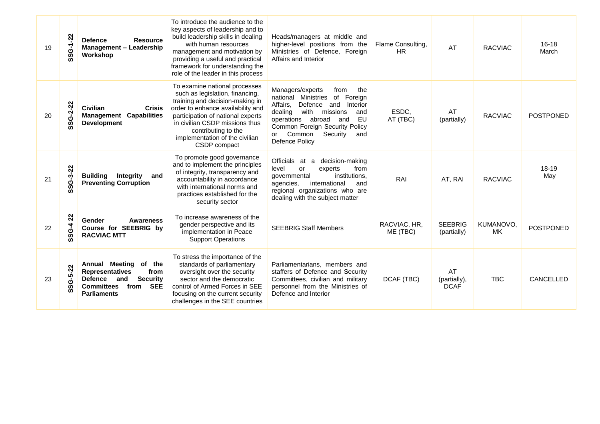| 19 | SG-1-22<br>ທ           | <b>Defence</b><br><b>Resource</b><br>Management - Leadership<br>Workshop                                                                                             | To introduce the audience to the<br>key aspects of leadership and to<br>build leadership skills in dealing<br>with human resources<br>management and motivation by<br>providing a useful and practical<br>framework for understanding the<br>role of the leader in this process          | Heads/managers at middle and<br>higher-level positions from the<br>Ministries of Defence, Foreign<br>Affairs and Interior                                                                                                                                            | Flame Consulting,<br><b>HR</b> | AT                                | <b>RACVIAC</b>  | $16 - 18$<br>March |
|----|------------------------|----------------------------------------------------------------------------------------------------------------------------------------------------------------------|------------------------------------------------------------------------------------------------------------------------------------------------------------------------------------------------------------------------------------------------------------------------------------------|----------------------------------------------------------------------------------------------------------------------------------------------------------------------------------------------------------------------------------------------------------------------|--------------------------------|-----------------------------------|-----------------|--------------------|
| 20 | $SG-2-22$<br>ഗ         | <b>Civilian</b><br><b>Crisis</b><br><b>Management Capabilities</b><br><b>Development</b>                                                                             | To examine national processes<br>such as legislation, financing,<br>training and decision-making in<br>order to enhance availability and<br>participation of national experts<br>in civilian CSDP missions thus<br>contributing to the<br>implementation of the civilian<br>CSDP compact | Managers/experts<br>from<br>the<br>of Foreign<br>national Ministries<br>and<br>Affairs,<br>Defence<br>Interior<br>dealing<br>with missions<br>and<br>EU<br>operations abroad and<br>Common Foreign Security Policy<br>or Common<br>Security<br>and<br>Defence Policy | ESDC.<br>AT (TBC)              | AT<br>(partially)                 | <b>RACVIAC</b>  | POSTPONED          |
| 21 | SSG-3-22               | <b>Building</b><br><b>Integrity</b><br>and<br><b>Preventing Corruption</b>                                                                                           | To promote good governance<br>and to implement the principles<br>of integrity, transparency and<br>accountability in accordance<br>with international norms and<br>practices established for the<br>security sector                                                                      | Officials at a decision-making<br>level<br>experts<br>from<br>or<br>institutions,<br>governmental<br>international<br>agencies.<br>and<br>regional organizations who are<br>dealing with the subject matter                                                          | RAI                            | AT, RAI                           | <b>RACVIAC</b>  | 18-19<br>May       |
| 22 | 22<br><b>SG-4</b><br>Ŵ | Gender<br><b>Awareness</b><br>Course for SEEBRIG by<br><b>RACVIAC MTT</b>                                                                                            | To increase awareness of the<br>gender perspective and its<br>implementation in Peace<br><b>Support Operations</b>                                                                                                                                                                       | <b>SEEBRIG Staff Members</b>                                                                                                                                                                                                                                         | RACVIAC, HR,<br>ME (TBC)       | <b>SEEBRIG</b><br>(partially)     | KUMANOVO,<br>МK | <b>POSTPONED</b>   |
| 23 | SG-5-22<br>ທ           | <b>Annual Meeting</b><br>of the<br><b>Representatives</b><br>from<br><b>Security</b><br>Defence and<br><b>Committees</b><br>from<br><b>SEE</b><br><b>Parliaments</b> | To stress the importance of the<br>standards of parliamentary<br>oversight over the security<br>sector and the democratic<br>control of Armed Forces in SEE<br>focusing on the current security<br>challenges in the SEE countries                                                       | Parliamentarians, members and<br>staffers of Defence and Security<br>Committees, civilian and military<br>personnel from the Ministries of<br>Defence and Interior                                                                                                   | DCAF (TBC)                     | AT<br>(partially).<br><b>DCAF</b> | <b>TBC</b>      | CANCELLED          |